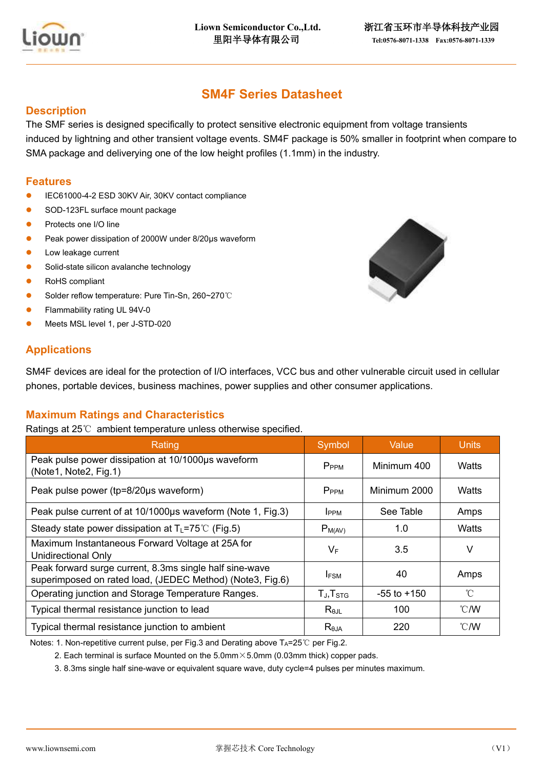

# **SM4F Series Datasheet**

#### **Description**

The SMF series is designed specifically to protect sensitive electronic equipment from voltage transients induced by lightning and other transient voltage events. SM4F package is 50% smaller in footprint when compare to SMA package and deliverying one of the low height profiles (1.1mm) in the industry.

#### **Features**

- ⚫ IEC61000-4-2 ESD 30KV Air, 30KV contact compliance
- SOD-123FL surface mount package
- ⚫ Protects one I/O line
- ⚫ Peak power dissipation of 2000W under 8/20μs waveform
- Low leakage current
- Solid-state silicon avalanche technology
- RoHS compliant
- ⚫ Solder reflow temperature: Pure Tin-Sn, 260~270℃
- ⚫ Flammability rating UL 94V-0
- ⚫ Meets MSL level 1, per J-STD-020

### **Applications**

SM4F devices are ideal for the protection of I/O interfaces, VCC bus and other vulnerable circuit used in cellular phones, portable devices, business machines, power supplies and other consumer applications.

### **Maximum Ratings and Characteristics**

Ratings at 25℃ ambient temperature unless otherwise specified.

| Rating                                                                                                               | Symbol            | Value           | <b>Units</b>   |
|----------------------------------------------------------------------------------------------------------------------|-------------------|-----------------|----------------|
| Peak pulse power dissipation at 10/1000µs waveform<br>(Note1, Note2, Fig.1)                                          | P <sub>PPM</sub>  | Minimum 400     | Watts          |
| Peak pulse power (tp=8/20µs waveform)                                                                                | P <sub>PPM</sub>  | Minimum 2000    | Watts          |
| Peak pulse current of at 10/1000µs waveform (Note 1, Fig.3)                                                          | <b>I</b> PPM      | See Table       | Amps           |
| Steady state power dissipation at $T_L = 75^{\circ}C$ (Fig.5)                                                        | $P_{M(AV)}$       | 1.0             | Watts          |
| Maximum Instantaneous Forward Voltage at 25A for<br><b>Unidirectional Only</b>                                       | VF                | 3.5             | V              |
| Peak forward surge current, 8.3ms single half sine-wave<br>superimposed on rated load, (JEDEC Method) (Note3, Fig.6) | <b>IFSM</b>       | 40              | Amps           |
| Operating junction and Storage Temperature Ranges.                                                                   | $T_J$ , $T_{STG}$ | $-55$ to $+150$ | $^{\circ}$ C   |
| Typical thermal resistance junction to lead                                                                          | $R_{\theta$ JL    | 100             | $^{\circ}$ C/W |
| Typical thermal resistance junction to ambient                                                                       | $R_{\theta$ JA    | 220             | $^{\circ}$ C/W |

Notes: 1. Non-repetitive current pulse, per Fig.3 and Derating above  $T_A=25^{\circ}C$  per Fig.2.

2. Each terminal is surface Mounted on the  $5.0$ mm $\times$ 5.0mm (0.03mm thick) copper pads.

3. 8.3ms single half sine-wave or equivalent square wave, duty cycle=4 pulses per minutes maximum.

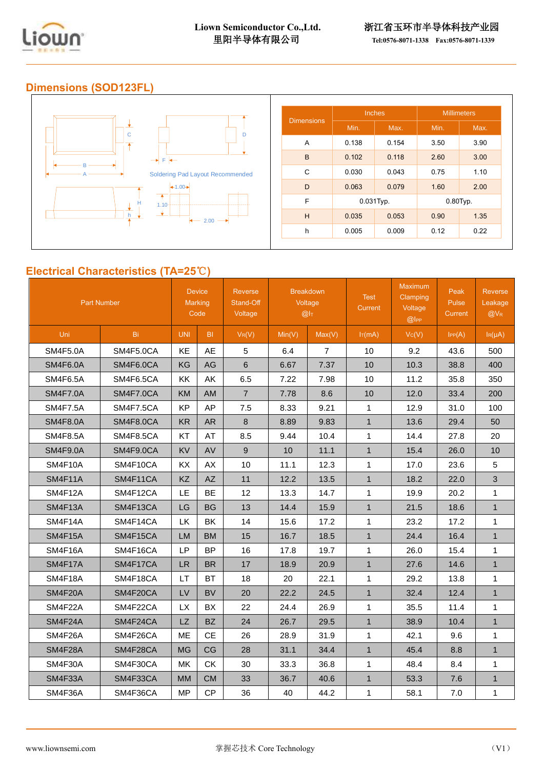

### **Dimensions (SOD123FL)**



### **Electrical Characteristics (TA=25**℃**)**

| <b>Part Number</b> |                  | <b>Device</b><br>Marking<br>Code |           | <b>Reverse</b><br>Stand-Off<br>Voltage | <b>Breakdown</b><br>Voltage<br>@I <sub>T</sub> |                | <b>Test</b><br>Current | <b>Maximum</b><br>Clamping<br>Voltage<br>@ | Peak<br>Pulse<br><b>Current</b> | <b>Reverse</b><br>Leakage<br>$@V_{R}$ |
|--------------------|------------------|----------------------------------|-----------|----------------------------------------|------------------------------------------------|----------------|------------------------|--------------------------------------------|---------------------------------|---------------------------------------|
| Uni                | <b>Bi</b>        | <b>UNI</b>                       | BI.       | $V_R(V)$                               | Min(V)                                         | Max(V)         | $I_T(mA)$              | Vc(V)                                      | IPP(A)                          | $I_R(\mu A)$                          |
| <b>SM4F5.0A</b>    | SM4F5.0CA        | KE                               | AE        | 5                                      | 6.4                                            | $\overline{7}$ | 10                     | 9.2                                        | 43.6                            | 500                                   |
| <b>SM4F6.0A</b>    | SM4F6.0CA        | KG                               | AG        | 6                                      | 6.67                                           | 7.37           | 10                     | 10.3                                       | 38.8                            | 400                                   |
| <b>SM4F6.5A</b>    | SM4F6.5CA        | KK                               | AK        | 6.5                                    | 7.22                                           | 7.98           | 10                     | 11.2                                       | 35.8                            | 350                                   |
| <b>SM4F7.0A</b>    | SM4F7.0CA        | <b>KM</b>                        | <b>AM</b> | $\overline{7}$                         | 7.78                                           | 8.6            | 10                     | 12.0                                       | 33.4                            | 200                                   |
| <b>SM4F7.5A</b>    | <b>SM4F7.5CA</b> | <b>KP</b>                        | AP        | 7.5                                    | 8.33                                           | 9.21           | $\mathbf{1}$           | 12.9                                       | 31.0                            | 100                                   |
| <b>SM4F8.0A</b>    | <b>SM4F8.0CA</b> | <b>KR</b>                        | <b>AR</b> | 8                                      | 8.89                                           | 9.83           | $\mathbf{1}$           | 13.6                                       | 29.4                            | 50                                    |
| <b>SM4F8.5A</b>    | SM4F8.5CA        | KT                               | AT        | 8.5                                    | 9.44                                           | 10.4           | $\mathbf{1}$           | 14.4                                       | 27.8                            | 20                                    |
| <b>SM4F9.0A</b>    | SM4F9.0CA        | <b>KV</b>                        | AV        | $\mathsf g$                            | 10                                             | 11.1           | $\mathbf{1}$           | 15.4                                       | 26.0                            | 10                                    |
| SM4F10A            | SM4F10CA         | KX                               | AX        | 10                                     | 11.1                                           | 12.3           | $\mathbf{1}$           | 17.0                                       | 23.6                            | 5                                     |
| <b>SM4F11A</b>     | SM4F11CA         | <b>KZ</b>                        | AZ        | 11                                     | 12.2                                           | 13.5           | $\mathbf{1}$           | 18.2                                       | 22.0                            | 3                                     |
| SM4F12A            | SM4F12CA         | LE                               | <b>BE</b> | 12                                     | 13.3                                           | 14.7           | $\mathbf{1}$           | 19.9                                       | 20.2                            | 1                                     |
| SM4F13A            | SM4F13CA         | LG                               | <b>BG</b> | 13                                     | 14.4                                           | 15.9           | $\mathbf{1}$           | 21.5                                       | 18.6                            | $\mathbf{1}$                          |
| SM4F14A            | SM4F14CA         | LK                               | BK        | 14                                     | 15.6                                           | 17.2           | $\mathbf{1}$           | 23.2                                       | 17.2                            | $\mathbf{1}$                          |
| SM4F15A            | SM4F15CA         | <b>LM</b>                        | <b>BM</b> | 15                                     | 16.7                                           | 18.5           | $\mathbf{1}$           | 24.4                                       | 16.4                            | $\mathbf{1}$                          |
| SM4F16A            | SM4F16CA         | LP                               | <b>BP</b> | 16                                     | 17.8                                           | 19.7           | $\mathbf{1}$           | 26.0                                       | 15.4                            | 1                                     |
| SM4F17A            | SM4F17CA         | <b>LR</b>                        | <b>BR</b> | 17                                     | 18.9                                           | 20.9           | $\mathbf{1}$           | 27.6                                       | 14.6                            | $\mathbf{1}$                          |
| SM4F18A            | SM4F18CA         | LT                               | <b>BT</b> | 18                                     | 20                                             | 22.1           | $\mathbf{1}$           | 29.2                                       | 13.8                            | 1                                     |
| <b>SM4F20A</b>     | SM4F20CA         | LV                               | <b>BV</b> | 20                                     | 22.2                                           | 24.5           | $\mathbf{1}$           | 32.4                                       | 12.4                            | $\mathbf{1}$                          |
| SM4F22A            | SM4F22CA         | <b>LX</b>                        | BX        | 22                                     | 24.4                                           | 26.9           | $\mathbf{1}$           | 35.5                                       | 11.4                            | $\mathbf{1}$                          |
| SM4F24A            | SM4F24CA         | <b>LZ</b>                        | <b>BZ</b> | 24                                     | 26.7                                           | 29.5           | $\mathbf{1}$           | 38.9                                       | 10.4                            | $\mathbf{1}$                          |
| SM4F26A            | SM4F26CA         | <b>ME</b>                        | <b>CE</b> | 26                                     | 28.9                                           | 31.9           | $\mathbf{1}$           | 42.1                                       | 9.6                             | 1                                     |
| SM4F28A            | SM4F28CA         | <b>MG</b>                        | CG        | 28                                     | 31.1                                           | 34.4           | $\mathbf{1}$           | 45.4                                       | 8.8                             | $\mathbf{1}$                          |
| SM4F30A            | SM4F30CA         | MK                               | <b>CK</b> | 30                                     | 33.3                                           | 36.8           | $\mathbf{1}$           | 48.4                                       | 8.4                             | $\mathbf{1}$                          |
| SM4F33A            | SM4F33CA         | <b>MM</b>                        | <b>CM</b> | 33                                     | 36.7                                           | 40.6           | $\mathbf{1}$           | 53.3                                       | 7.6                             | $\mathbf{1}$                          |
| SM4F36A            | SM4F36CA         | <b>MP</b>                        | CP        | 36                                     | 40                                             | 44.2           | $\mathbf{1}$           | 58.1                                       | 7.0                             | 1                                     |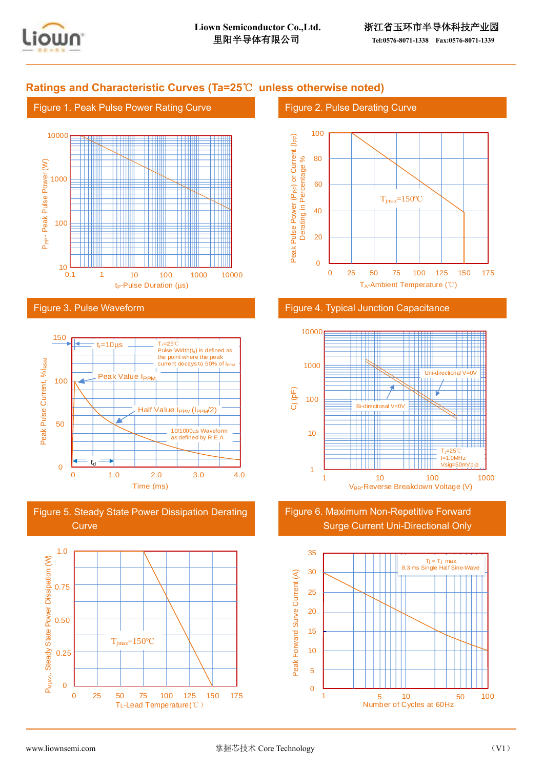

### **Ratings and Characteristic Curves (Ta=25**℃ **unless otherwise noted)**





Figure 3. Pulse Waveform



Figure 5. Steady State Power Dissipation Derating **Curve** 



#### Figure 2. Pulse Derating Curve



#### Figure 4. Typical Junction Capacitance



Figure 6. Maximum Non-Repetitive Forward Surge Current Uni-Directional Only

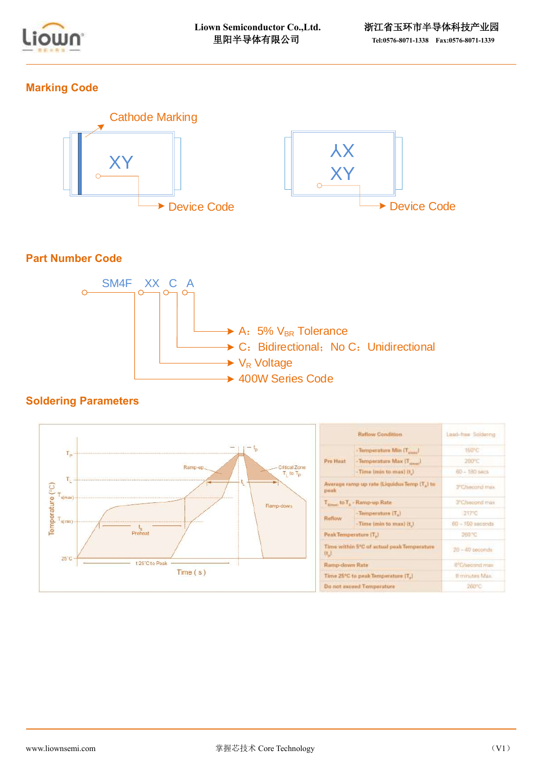

## **Marking Code**



## **Part Number Code**



### **Soldering Parameters**